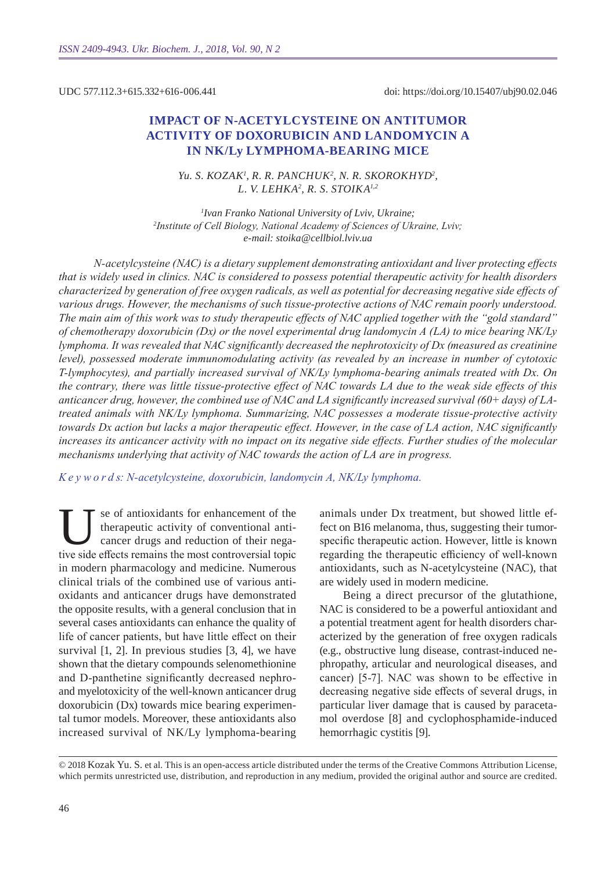UDC 577.112.3+615.332+616-006.441

doi: https://doi.org/10.15407/ubj90.02.046

# **Impact of N-acetylcystein e on antitumor activity of doxorubicin and landomycin a IN NK/Ly LYMPHOMA-BEARING MICE**

*Yu. S. Kozak1 , R. R. Panchuk <sup>2</sup> , N. R. Skorokhyd2 , L. V. Lehka2 , R. S. Stoik a1,2*

*1 Ivan Franko National University of Lviv, Ukraine; 2 Іnstitute of Cell Biology, National Academy of Sciences of Ukraine, Lviv; e-mail: stoika@cellbiol.lviv.ua*

*N-acetylcysteine (NAC) is a dietary supplement demonstrating antioxidant and liver protecting effects that is widely used in clinics. NAC is considered to possess potential therapeutic activity for health disorders characterized by generation of free oxygen radicals, as well as potential for decreasing negative side effects of various drugs. However, the mechanisms of such tissue-protective actions of NAC remain poorly understood. The main aim of this work was to study therapeutic effects of NAC applied together with the "gold standard" of chemotherapy doxorubicin (Dx) or the novel experimental drug landomycin A (LA) to mice bearing NK/Ly lymphoma. It was revealed that NAC significantly decreased the nephrotoxicity of Dx (measured as creatinine level), possessed moderate immunomodulating activity (as revealed by an increase in number of cytotoxic T-lymphocytes), and partially increased survival of NK/Ly lymphoma-bearing animals treated with Dx. On the contrary, there was little tissue-protective effect of NAC towards LA due to the weak side effects of this anticancer drug, however, the combined use of NAC and LA significantly increased survival (60+ days) of LAtreated animals with NK/Ly lymphoma. Summarizing, NAC possesses a moderate tissue-protective activity towards Dx action but lacks a major therapeutic effect. However, in the case of LA action, NAC significantly increases its anticancer activity with no impact on its negative side effects. Further studies of the molecular mechanisms underlying that activity of NAC towards the action of LA are in progress.*

*K e y w o r d s: N-acetylcysteine, doxorubicin, landomycin A, NK/Ly lymphoma.*

See of antioxidants for enhancement of the<br>therapeutic activity of conventional anti-<br>cancer drugs and reduction of their nega-<br>tive side effects remains the most controversial tonic therapeutic activity of conventional anticancer drugs and reduction of their negative side effects remains the most controversial topic in modern pharmacology and medicine. Numerous clinical trials of the combined use of various antioxidants and anticancer drugs have demonstrated the opposite results, with a general conclusion that in several cases antioxidants can enhance the quality of life of cancer patients, but have little effect on their survival [1, 2]. In previous studies [3, 4], we have shown that the dietary compounds selenomethionine and D-panthetine significantly decreased nephroand myelotoxicity of the well-known anticancer drug doxorubicin (Dx) towards mice bearing experimental tumor models. Moreover, these antioxidants also increased survival of NK/Ly lymphoma-bearing

animals under Dx treatment, but showed little effect on B16 melanoma, thus, suggesting their tumorspecific therapeutic action. However, little is known regarding the therapeutic efficiency of well-known antioxidants, such as N-acetylcysteine (NAC), that are widely used in modern medicine.

Being a direct precursor of the glutathione, NAC is considered to be a powerful antioxidant and a potential treatment agent for health disorders characterized by the generation of free oxygen radicals (e.g., obstructive lung disease, contrast-induced nephropathy, articular and neurological diseases, and cancer) [5-7]. NAC was shown to be effective in decreasing negative side effects of several drugs, in particular liver damage that is caused by paracetamol overdose [8] and cyclophosphamide-induced hemorrhagic cystitis [9].

© 2018 Kozak Yu. S. et al. This is an open-access article distributed under the terms of the Creative Commons Attribution License, which permits unrestricted use, distribution, and reproduction in any medium, provided the original author and source are credited.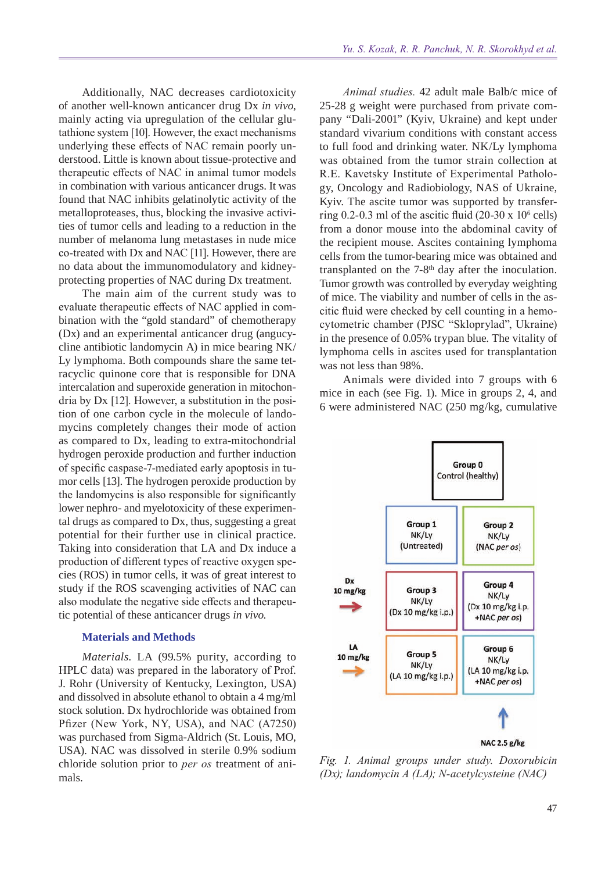Additionally, NAC decreases cardiotoxicity of another well-known anticancer drug Dx *in vivo*, mainly acting via upregulation of the cellular glutathione system [10]. However, the exact mechanisms underlying these effects of NAC remain poorly understood. Little is known about tissue-protective and therapeutic effects of NAC in animal tumor models in combination with various anticancer drugs. It was found that NAC inhibits gelatinolytic activity of the metalloproteases, thus, blocking the invasive activities of tumor cells and leading to a reduction in the number of melanoma lung metastases in nude mice co-treated with Dx and NAC [11]. However, there are no data about the immunomodulatory and kidneyprotecting properties of NAC during Dx treatment.

The main aim of the current study was to evaluate therapeutic effects of NAC applied in combination with the "gold standard" of chemotherapy (Dx) and an experimental anticancer drug (angucycline antibiotic landomycin A) in mice bearing NK/ Ly lymphoma. Both compounds share the same tetracyclic quinone core that is responsible for DNA intercalation and superoxide generation in mitochondria by Dx [12]. However, a substitution in the position of one carbon cycle in the molecule of landomycins completely changes their mode of action as compared to Dx, leading to extra-mitochondrial hydrogen peroxide production and further induction of specific caspase-7-mediated early apoptosis in tumor cells [13]. The hydrogen peroxide production by the landomycins is also responsible for significantly lower nephro- and myelotoxicity of these experimental drugs as compared to Dx, thus, suggesting a great potential for their further use in clinical practice. Taking into consideration that LA and Dx induce a production of different types of reactive oxygen species (ROS) in tumor cells, it was of great interest to study if the ROS scavenging activities of NAC can also modulate the negative side effects and therapeutic potential of these anticancer drugs *in vivo*.

### **Materials and Methods**

*Materials.* LA (99.5% purity, according to HPLC data) was prepared in the laboratory of Prof. J. Rohr (University of Kentucky, Lexington, USA) and dissolved in absolute ethanol to obtain a 4 mg/ml stock solution. Dx hydrochloride was obtained from Pfizer (New York, NY, USA), and NAC (A7250) was purchased from Sigma-Aldrich (St. Louis, MO, USA). NAC was dissolved in sterile 0.9% sodium chloride solution prior to *per os* treatment of animals.

*Animal studies.* 42 adult male Balb/c mice of 25-28 g weight were purchased from private company "Dali-2001" (Kyiv, Ukraine) and kept under standard vivarium conditions with constant access to full food and drinking water. NK/Ly lymphoma was obtained from the tumor strain collection at R.E. Kavetsky Institute of Experimental Pathology, Oncology and Radiobiology, NAS of Ukraine, Kyiv. The ascite tumor was supported by transferring 0.2-0.3 ml of the ascitic fluid  $(20-30 \times 10^6 \text{ cells})$ from a donor mouse into the abdominal cavity of the recipient mouse. Ascites containing lymphoma cells from the tumor-bearing mice was obtained and transplanted on the 7-8<sup>th</sup> day after the inoculation. Tumor growth was controlled by everyday weighting of mice. The viability and number of cells in the ascitic fluid were checked by cell counting in a hemocytometric chamber (PJSC "Skloprylad", Ukraine) in the presence of 0.05% trypan blue. The vitality of lymphoma cells in ascites used for transplantation was not less than 98%.

Animals were divided into 7 groups with 6 mice in each (see Fig. 1). Mice in groups 2, 4, and 6 were administered NAC (250 mg/kg, cumulative



*Fig. 1. Animal groups under study. Doxorubicin (Dx); landomycin A (LA); N-acetylcysteine (NAC)*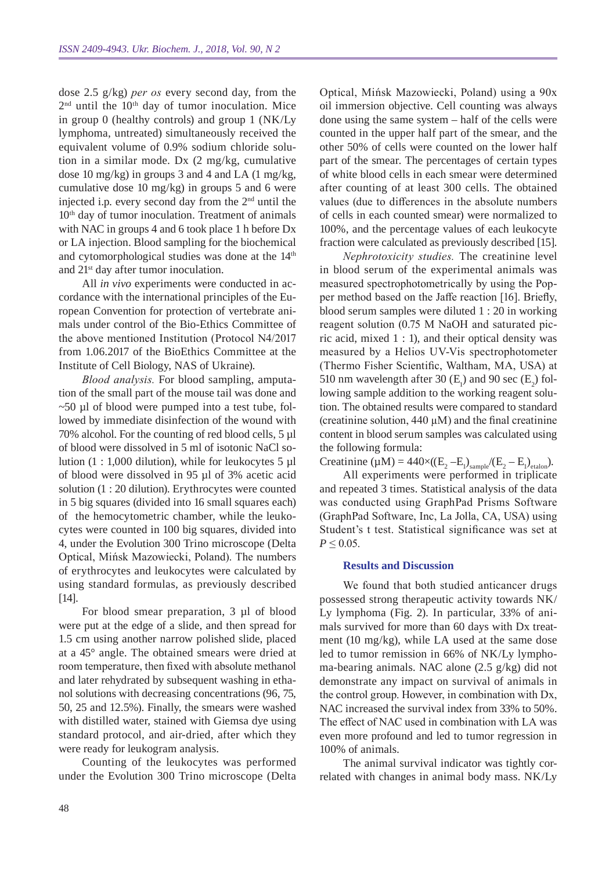dose 2.5 g/kg) *per os* every second day, from the  $2<sup>nd</sup>$  until the  $10<sup>th</sup>$  day of tumor inoculation. Mice in group 0 (healthy controls) and group 1 (NK/Ly lymphoma, untreated) simultaneously received the equivalent volume of 0.9% sodium chloride solution in a similar mode. Dx (2 mg/kg, cumulative dose 10 mg/kg) in groups 3 and 4 and LA (1 mg/kg, cumulative dose 10 mg/kg) in groups 5 and 6 were injected i.p. every second day from the 2nd until the 10<sup>th</sup> day of tumor inoculation. Treatment of animals with NAC in groups 4 and 6 took place 1 h before Dx or LA injection. Blood sampling for the biochemical and cytomorphological studies was done at the 14<sup>th</sup> and 21st day after tumor inoculation.

All *in vivo* experiments were conducted in accordance with the international principles of the European Convention for protection of vertebrate animals under control of the Bio-Ethics Committee of the above mentioned Institution (Protocol N4/2017 from 1.06.2017 of the BioEthics Committee at the Institute of Cell Biology, NAS of Ukraine).

*Blood analysis.* For blood sampling, amputation of the small part of the mouse tail was done and  $\sim$ 50 µl of blood were pumped into a test tube, followed by immediate disinfection of the wound with 70% alcohol. For the counting of red blood cells, 5 µl of blood were dissolved in 5 ml of isotonic NaCl solution  $(1: 1,000)$  dilution), while for leukocytes 5 µl of blood were dissolved in 95 µl of 3% acetic acid solution (1 : 20 dilution). Erythrocytes were counted in 5 big squares (divided into 16 small squares each) of the hemocytometric chamber, while the leukocytes were counted in 100 big squares, divided into 4, under the Evolution 300 Trino microscope (Delta Optical, Mińsk Mazowiecki, Poland). The numbers of erythrocytes and leukocytes were calculated by using standard formulas, as previously described [14].

For blood smear preparation, 3 µl of blood were put at the edge of a slide, and then spread for 1.5 cm using another narrow polished slide, placed at a 45° angle. The obtained smears were dried at room temperature, then fixed with absolute methanol and later rehydrated by subsequent washing in ethanol solutions with decreasing concentrations (96, 75, 50, 25 and 12.5%). Finally, the smears were washed with distilled water, stained with Giemsa dye using standard protocol, and air-dried, after which they were ready for leukogram analysis.

Counting of the leukocytes was performed under the Evolution 300 Trino microscope (Delta Optical, Mińsk Mazowiecki, Poland) using a 90x oil immersion objective. Cell counting was always done using the same system – half of the cells were counted in the upper half part of the smear, and the other 50% of cells were counted on the lower half part of the smear. The percentages of certain types of white blood cells in each smear were determined after counting of at least 300 cells. The obtained values (due to differences in the absolute numbers of cells in each counted smear) were normalized to 100%, and the percentage values of each leukocyte fraction were calculated as previously described [15].

*Nephrotoxicity studies.* The creatinine level in blood serum of the experimental animals was measured spectrophotometrically by using the Popper method based on the Jaffe reaction [16]. Briefly, blood serum samples were diluted 1 : 20 in working reagent solution (0.75 M NaOH and saturated picric acid, mixed 1 : 1), and their optical density was measured by a Helios UV-Vis spectrophotometer (Thermo Fisher Scientific, Waltham, MA, USA) at 510 nm wavelength after 30  $(E_1)$  and 90 sec  $(E_2)$  following sample addition to the working reagent solution. The obtained results were compared to standard (creatinine solution,  $440 \mu M$ ) and the final creatinine content in blood serum samples was calculated using the following formula:

Creatinine ( $\mu$ M) = 440×((E<sub>2</sub> - E<sub>1</sub>)<sub>sample</sub>/(E<sub>2</sub> - E<sub>1</sub>)<sub>etalon</sub>).

All experiments were performed in triplicate and repeated 3 times. Statistical analysis of the data was conducted using GraphPad Prisms Software (GraphPad Software, Inc, La Jolla, CA, USA) using Student's t test. Statistical significance was set at  $P \leq 0.05$ .

#### **Results and Discussion**

We found that both studied anticancer drugs possessed strong therapeutic activity towards NK/ Ly lymphoma (Fig. 2). In particular, 33% of animals survived for more than 60 days with Dx treatment (10 mg/kg), while LA used at the same dose led to tumor remission in 66% of NK/Ly lymphoma-bearing animals. NAC alone (2.5 g/kg) did not demonstrate any impact on survival of animals in the control group. However, in combination with Dx, NAC increased the survival index from 33% to 50%. The effect of NAC used in combination with LA was even more profound and led to tumor regression in 100% of animals.

The animal survival indicator was tightly correlated with changes in animal body mass. NK/Ly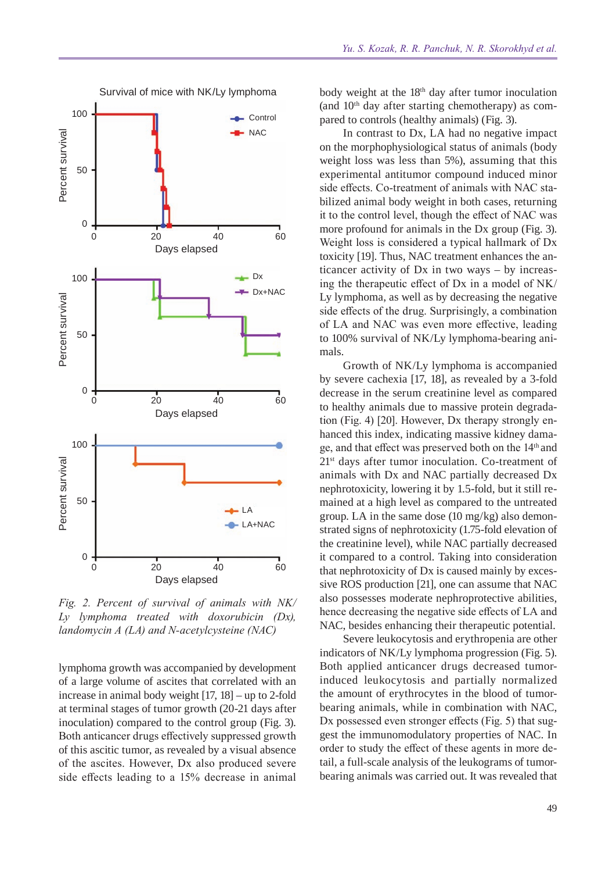



*Fig. 2. Percent of survival of animals with NK/ Ly lymphoma treated with doxorubicin (Dx),* 

lymphoma growth was accompanied by development of a large volume of ascites that correlated with an increase in animal body weight [17, 18] – up to 2-fold at terminal stages of tumor growth (20-21 days after inoculation) compared to the control group (Fig. 3). Both anticancer drugs effectively suppressed growth of this ascitic tumor, as revealed by a visual absence of the ascites. However, Dx also produced severe side effects leading to a 15% decrease in animal body weight at the  $18<sup>th</sup>$  day after tumor inoculation (and  $10<sup>th</sup>$  day after starting chemotherapy) as compared to controls (healthy animals) (Fig. 3).

In contrast to Dx, LA had no negative impact on the morphophysiological status of animals (body weight loss was less than 5%), assuming that this experimental antitumor compound induced minor side effects. Co-treatment of animals with NAC stabilized animal body weight in both cases, returning it to the control level, though the effect of NAC was more profound for animals in the Dx group (Fig. 3). Weight loss is considered a typical hallmark of Dx toxicity [19]. Thus, NAC treatment enhances the anticancer activity of Dx in two ways – by increasing the therapeutic effect of Dx in a model of NK/ Ly lymphoma, as well as by decreasing the negative side effects of the drug. Surprisingly, a combination of LA and NAC was even more effective, leading to 100% survival of NK/Ly lymphoma-bearing animals.

Growth of NK/Ly lymphoma is accompanied by severe cachexia [17, 18], as revealed by a 3-fold decrease in the serum creatinine level as compared to healthy animals due to massive protein degradation (Fig. 4) [20]. However, Dx therapy strongly enhanced this index, indicating massive kidney damage, and that effect was preserved both on the 14th and 21st days after tumor inoculation. Co-treatment of animals with Dx and NAC partially decreased Dx nephrotoxicity, lowering it by 1.5-fold, but it still remained at a high level as compared to the untreated group. LA in the same dose (10 mg/kg) also demonstrated signs of nephrotoxicity (1.75-fold elevation of the creatinine level), while NAC partially decreased it compared to a control. Taking into consideration that nephrotoxicity of Dx is caused mainly by excessive ROS production [21], one can assume that NAC also possesses moderate nephroprotective abilities, hence decreasing the negative side effects of LA and NAC, besides enhancing their therapeutic potential.

Severe leukocytosis and erythropenia are other indicators of NK/Ly lymphoma progression (Fig. 5). Both applied anticancer drugs decreased tumorinduced leukocytosis and partially normalized the amount of erythrocytes in the blood of tumorbearing animals, while in combination with NAC, Dx possessed even stronger effects (Fig. 5) that suggest the immunomodulatory properties of NAC. In order to study the effect of these agents in more detail, a full-scale analysis of the leukograms of tumorbearing animals was carried out. It was revealed that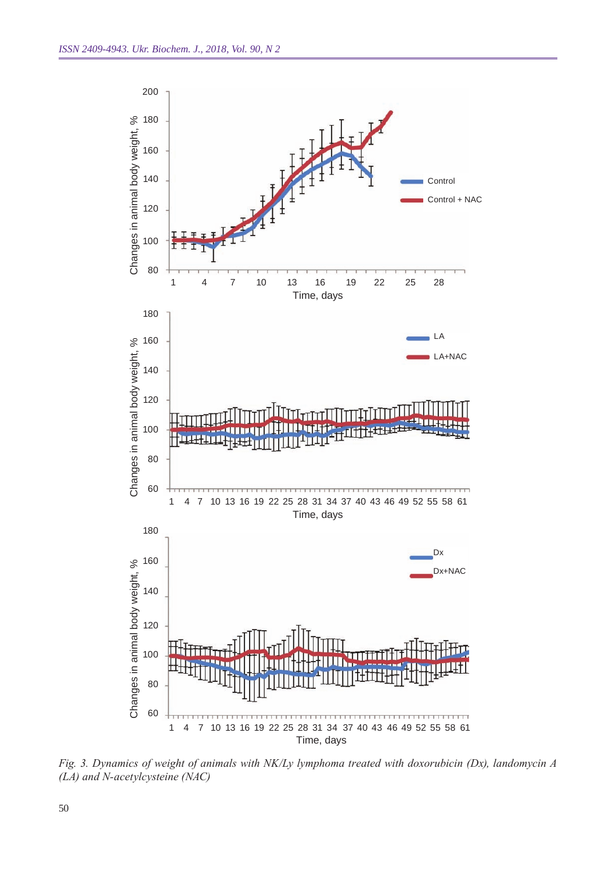

*Fig. 3. Dynamics of weight of animals with NK/Ly lymphoma treated with doxorubicin (Dx), landomycin A*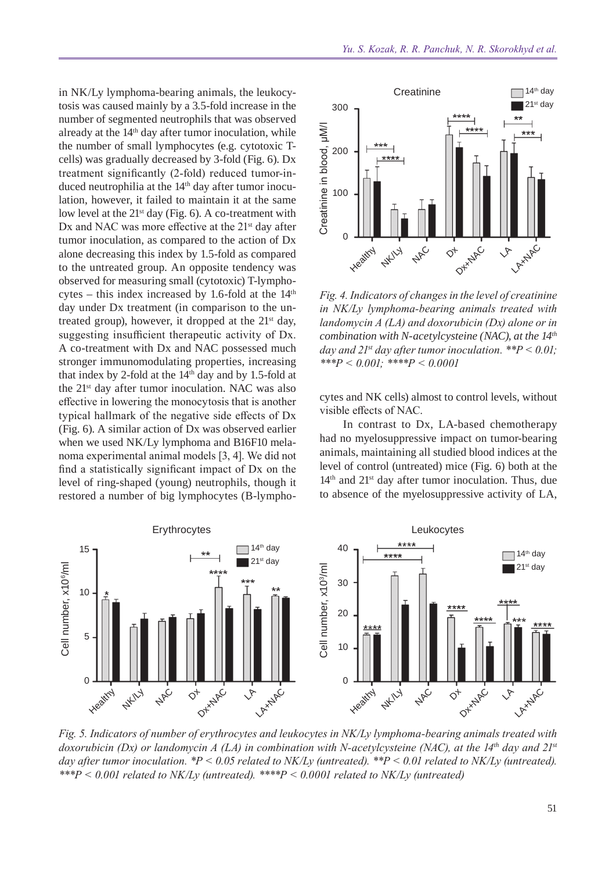in NK/Ly lymphoma-bearing animals, the leukocytosis was caused mainly by a 3.5-fold increase in the number of segmented neutrophils that was observed already at the  $14<sup>th</sup>$  day after tumor inoculation, while the number of small lymphocytes (e.g. cytotoxic Tcells) was gradually decreased by 3-fold (Fig. 6). Dx treatment significantly (2-fold) reduced tumor-induced neutrophilia at the 14<sup>th</sup> day after tumor inoculation, however, it failed to maintain it at the same low level at the  $21<sup>st</sup>$  day (Fig. 6). A co-treatment with Dx and NAC was more effective at the  $21<sup>st</sup>$  day after tumor inoculation, as compared to the action of Dx alone decreasing this index by 1.5-fold as compared to the untreated group. An opposite tendency was observed for measuring small (cytotoxic) T-lymphocytes – this index increased by 1.6-fold at the  $14<sup>th</sup>$ day under Dx treatment (in comparison to the untreated group), however, it dropped at the  $21<sup>st</sup>$  day, suggesting insufficient therapeutic activity of Dx. A co-treatment with Dx and NAC possessed much stronger immunomodulating properties, increasing that index by 2-fold at the  $14<sup>th</sup>$  day and by 1.5-fold at the 21st day after tumor inoculation. NAC was also effective in lowering the monocytosis that is another typical hallmark of the negative side effects of Dx (Fig. 6). A similar action of Dx was observed earlier when we used NK/Ly lymphoma and B16F10 melanoma experimental animal models [3, 4]. We did not find a statistically significant impact of Dx on the level of ring-shaped (young) neutrophils, though it restored a number of big lymphocytes (B-lympho-



*Fig. 4. Indicators of changes in the level of creatinine in NK/Ly lymphoma-bearing animals treated with landomycin A (LA) and doxorubicin (Dx) alone or in combination with N-acetylcysteine (NAC ), at the 14th day and*  $2I<sup>st</sup>$  *day after tumor inoculation.* \*\* $P < 0.01$ ;

cytes and NK cells) almost to control levels, without visible effects of NAC.

In contrast to Dx, LA-based chemotherapy had no myelosuppressive impact on tumor-bearing animals, maintaining all studied blood indices at the level of control (untreated) mice (Fig. 6) both at the 14<sup>th</sup> and 21<sup>st</sup> day after tumor inoculation. Thus, due to absence of the myelosuppressive activity of LA,



*Fig. 5. Indicators of number of erythrocytes and leukocytes in NK/Ly lymphoma-bearing animals treated with doxorubicin (Dx) or landomycin A (LA) in combination with N-acetylcysteine (NAC), at the 14th day and 21st day after tumor inoculation. \*P < 0.05 related to NK/Ly (untreated). \*\*P < 0.01 related to NK/Ly (untreated). \*\*\*P < 0.001 related to NK/Ly (untreated). \*\*\*\*P < 0.0001 related to NK/Ly (untreated)*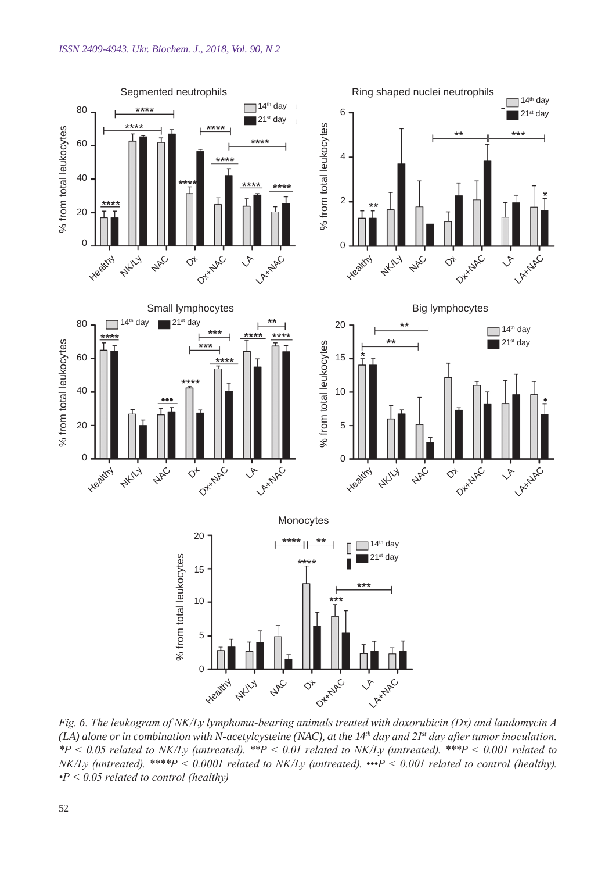

*Fig. 6. The leukogram of NK/Ly lymphoma-bearing animals treated with doxorubicin (Dx) and landomycin A (LA) alone or in combination with N-acetylcysteine (NAC ), at the 14th day and 21st day after tumor inoculation. \*P < 0.05 related to NK/Ly (untreated). \*\*P < 0.01 related to NK/Ly (untreated). \*\*\*P < 0.001 related to NK/Ly (untreated). \*\*\*\*P < 0.0001 related to NK/Ly (untreated). •••P < 0.001 related to control (healthy). •P < 0.05 related to control (healthy)*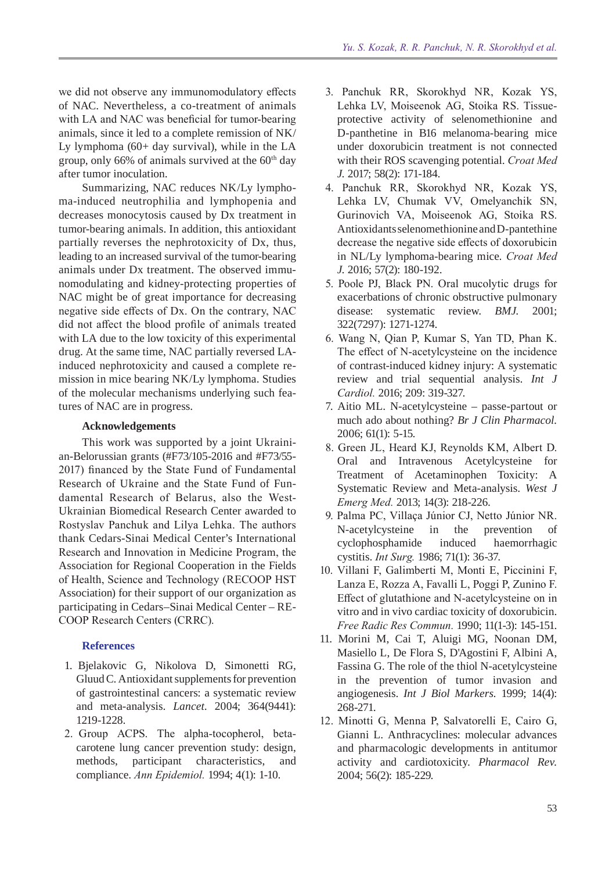we did not observe any immunomodulatory effects of NAC. Nevertheless, a co-treatment of animals with LA and NAC was beneficial for tumor-bearing animals, since it led to a complete remission of NK/ Ly lymphoma (60+ day survival), while in the LA group, only 66% of animals survived at the  $60<sup>th</sup>$  day after tumor inoculation.

Summarizing, NAC reduces NK/Ly lymphoma-induced neutrophilia and lymphopenia and decreases monocytosis caused by Dx treatment in tumor-bearing animals. In addition, this antioxidant partially reverses the nephrotoxicity of Dx, thus, leading to an increased survival of the tumor-bearing animals under Dx treatment. The observed immunomodulating and kidney-protecting properties of NAC might be of great importance for decreasing negative side effects of Dx. On the contrary, NAC did not affect the blood profile of animals treated with LA due to the low toxicity of this experimental drug. At the same time, NAC partially reversed LAinduced nephrotoxicity and caused a complete remission in mice bearing NK/Ly lymphoma. Studies of the molecular mechanisms underlying such features of NAC are in progress.

## **Acknowledgements**

This work was supported by a joint Ukrainian-Belorussian grants (#F73/105-2016 and #F73/55- 2017) financed by the State Fund of Fundamental Research of Ukraine and the State Fund of Fundamental Research of Belarus, also the West-Ukrainian Biomedical Research Center awarded to Rostyslav Panchuk and Lilya Lehka. The authors thank Cedars-Sinai Medical Center's International Research and Innovation in Medicine Program, the Association for Regional Cooperation in the Fields of Health, Science and Technology (RECOOP HST Association) for their support of our organization as participating in Cedars–Sinai Medical Center – RE-COOP Research Centers (CRRC).

#### **References**

- 1. Bjelakovic G, Nikolova D, Simonetti RG, GluudC. Antioxidant supplements for prevention of gastrointestinal cancers: a systematic review and meta-analysis. *Lancet.* 2004; 364(9441): 1219-1228.
- 2. Group ACPS. The alpha-tocopherol, betacarotene lung cancer prevention study: design, methods, participant characteristics, and compliance. *Ann Epidemiol.* 1994; 4(1): 1-10.
- 3. Panchuk RR, Skorokhyd NR, Kozak YS, Lehka LV, Moiseenok AG, Stoika RS. Tissueprotective activity of selenomethionine and D-panthetine in B16 melanoma-bearing mice under doxorubicin treatment is not connected with their ROS scavenging potential. *Croat Med J.* 2017; 58(2): 171-184.
- 4. Panchuk RR, Skorokhyd NR, Kozak YS, Lehka LV, Chumak VV, Omelyanchik SN, Gurinovich VA, Moiseenok AG, Stoika RS. Antioxidants selenomethionine and D-pantethine decrease the negative side effects of doxorubicin in NL/Ly lymphoma-bearing mice. *Croat Med J.* 2016; 57(2): 180-192.
- 5. Poole PJ, Black PN. Oral mucolytic drugs for exacerbations of chronic obstructive pulmonary disease: systematic review. *BMJ*. 2001; 322(7297): 1271-1274.
- 6. Wang N, Qian P, Kumar S, Yan TD, Phan K. The effect of N-acetylcysteine on the incidence of contrast-induced kidney injury: A systematic review and trial sequential analysis. *Int J Cardiol.* 2016; 209: 319-327.
- 7. Aitio ML. N-acetylcysteine passe-partout or much ado about nothing? *Br J Clin Pharmacol.*  2006; 61(1): 5-15.
- 8. Green JL, Heard KJ, Reynolds KM, Albert D. Oral and Intravenous Acetylcysteine for Treatment of Acetaminophen Toxicity: A Systematic Review and Meta-analysis. *West J Emerg Med.* 2013; 14(3): 218-226.
- 9. Palma PC, Villaça Júnior CJ, Netto Júnior NR. N-acetylcysteine in the prevention of cyclophosphamide induced haemorrhagic cystitis. *Int Surg.* 1986; 71(1): 36-37.
- 10. Villani F, Galimberti M, Monti E, Piccinini F, Lanza E, Rozza A, Favalli L, Poggi P, Zunino F. Effect of glutathione and N-acetylcysteine on in vitro and in vivo cardiac toxicity of doxorubicin. *Free Radic Res Commun.* 1990; 11(1-3): 145-151.
- 11. Morini M, Cai T, Aluigi MG, Noonan DM, Masiello L, De Flora S, D'Agostini F, Albini A, Fassina G. The role of the thiol N-acetylcysteine in the prevention of tumor invasion and angiogenesis. *Int J Biol Markers.* 1999; 14(4): 268-271.
- 12. Minotti G, Menna P, Salvatorelli E, Cairo G, Gianni L. Anthracyclines: molecular advances and pharmacologic developments in antitumor activity and cardiotoxicity. *Pharmacol Rev.*  2004; 56(2): 185-229.